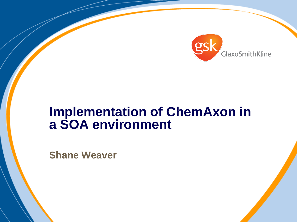

# **Implementation of ChemAxon in a SOA environment**

**Shane Weaver**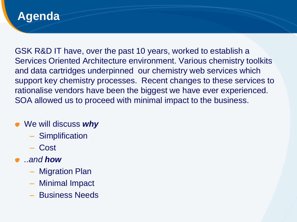#### **Agenda**

GSK R&D IT have, over the past 10 years, worked to establish a Services Oriented Architecture environment. Various chemistry toolkits and data cartridges underpinned our chemistry web services which support key chemistry processes. Recent changes to these services to rationalise vendors have been the biggest we have ever experienced. SOA allowed us to proceed with minimal impact to the business.

- We will discuss *why*
	- Simplification
	- Cost
- *..and how*
	- Migration Plan
	- Minimal Impact
	- Business Needs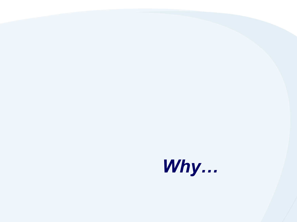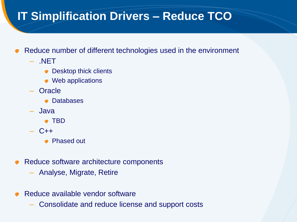## **IT Simplification Drivers – Reduce TCO**

- Reduce number of different technologies used in the environment
	- .NET
		- Desktop thick clients
		- Web applications
	- Oracle
		- Databases
	- Java
		- TBD
	- $C++$ 
		- Phased out
- Reduce software architecture components  $\bullet$ 
	- Analyse, Migrate, Retire
- Reduce available vendor software
	- Consolidate and reduce license and support costs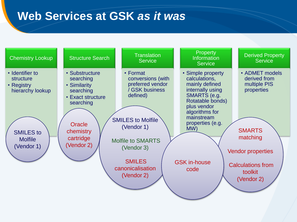## **Web Services at GSK** *as it was*

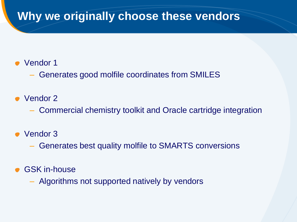## **Why we originally choose these vendors**

- Vendor 1
	- Generates good molfile coordinates from SMILES
- Vendor 2
	- Commercial chemistry toolkit and Oracle cartridge integration
- Vendor 3
	- Generates best quality molfile to SMARTS conversions
- GSK in-house
	- Algorithms not supported natively by vendors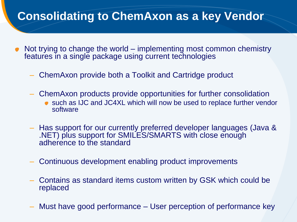## **Consolidating to ChemAxon as a key Vendor**

- Not trying to change the world implementing most common chemistry features in a single package using current technologies
	- ChemAxon provide both a Toolkit and Cartridge product
	- ChemAxon products provide opportunities for further consolidation
		- such as IJC and JC4XL which will now be used to replace further vendor software
	- Has support for our currently preferred developer languages (Java & .NET) plus support for SMILES/SMARTS with close enough adherence to the standard
	- Continuous development enabling product improvements
	- Contains as standard items custom written by GSK which could be replaced
	- Must have good performance User perception of performance key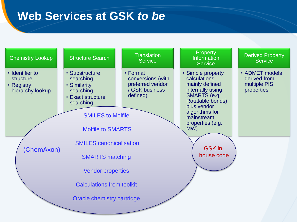### **Web Services at GSK** *to be*

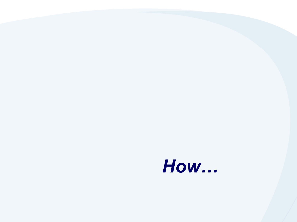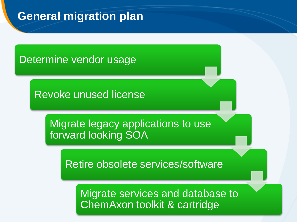## **General migration plan**

#### Determine vendor usage

Revoke unused license

Migrate legacy applications to use forward looking SOA

Retire obsolete services/software

Migrate services and database to ChemAxon toolkit & cartridge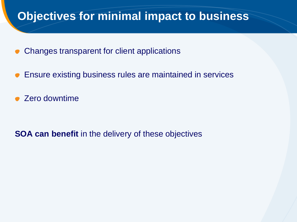### **Objectives for minimal impact to business**

- Changes transparent for client applications
- Ensure existing business rules are maintained in services  $\bullet$
- Zero downtime

**SOA can benefit** in the delivery of these objectives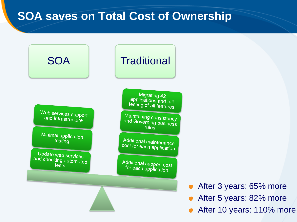### **SOA saves on Total Cost of Ownership**

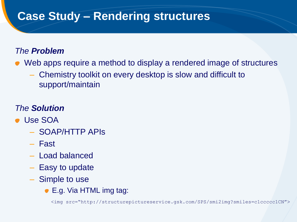## **Case Study – Rendering structures**

#### *The Problem*

- Web apps require a method to display a rendered image of structures
	- Chemistry toolkit on every desktop is slow and difficult to support/maintain

#### *The Solution*

- Use SOA
	- SOAP/HTTP APIs
	- Fast
	- Load balanced
	- Easy to update
	- Simple to use
		- E.g. Via HTML img tag:

<img src="http://structurepictureservice.gsk.com/SPS/smi2img?smiles=c1ccccc1CN">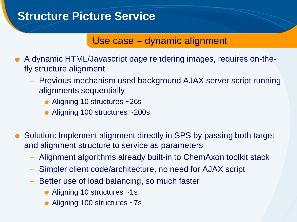### **Structure Picture Service**

#### Use case – dynamic alignment

- A dynamic HTML/Javascript page rendering images, requires on-thefly structure alignment
	- Previous mechanism used background AJAX server script running alignments sequentially
		- Aligning 10 structures ~26s
		- Aligning 100 structures ~200s
- Solution: Implement alignment directly in SPS by passing both target and alignment structure to service as parameters
	- Alignment algorithms already built-in to ChemAxon toolkit stack
	- Simpler client code/architecture, no need for AJAX script
	- Better use of load balancing, so much faster
		- Aligning 10 structures ~1s
		- Aligning 100 structures ~7s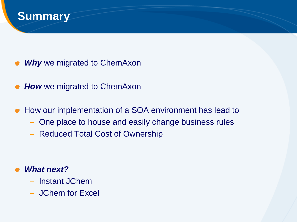

- *Why* we migrated to ChemAxon
- **How** we migrated to ChemAxon
- How our implementation of a SOA environment has lead to  $\bullet$ 
	- One place to house and easily change business rules
	- Reduced Total Cost of Ownership

#### *What next?*

- Instant JChem
- JChem for Excel